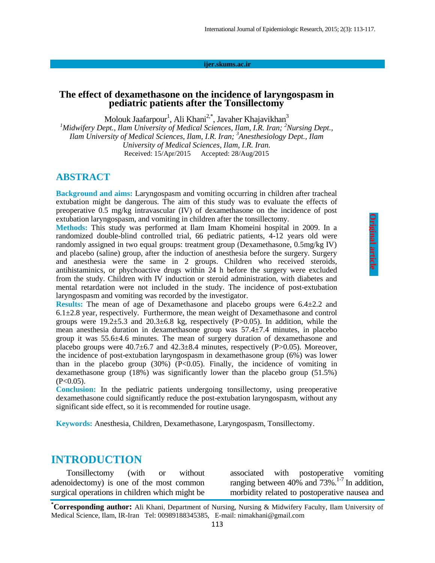#### **ijer.skums.ac.ir**

#### **The effect of dexamethasone on the incidence of laryngospasm in pediatric patients after the Tonsillectomy**

Molouk Jaafarpour<sup>1</sup>, Ali Khani<sup>2,\*</sup>, Javaher Khajavikhan<sup>3</sup> <sup>1</sup>*Midwifery Dept., Ilam University of Medical Sciences, Ilam, I.R. Iran; <sup>2</sup>Nursing Dept., Ilam University of Medical Sciences, Ilam, I.R. Iran; <sup>3</sup>Anesthesiology Dept., Ilam University of Medical Sciences, Ilam, I.R. Iran.* Received: 15/Apr/2015 Accepted: 28/Aug/2015

#### **ABSTRACT**

**Background and aims:** Laryngospasm and vomiting occurring in children after tracheal extubation might be dangerous. The aim of this study was to evaluate the effects of preoperative 0.5 mg/kg intravascular (IV) of dexamethasone on the incidence of post extubation laryngospasm, and vomiting in children after the tonsillectomy.

**Methods:** This study was performed at Ilam Imam Khomeini hospital in 2009. In a randomized double-blind controlled trial, 66 pediatric patients, 4-12 years old were randomly assigned in two equal groups: treatment group (Dexamethasone, 0.5mg/kg IV) and placebo (saline) group, after the induction of anesthesia before the surgery. Surgery and anesthesia were the same in 2 groups. Children who received steroids, antihistaminics, or phychoactive drugs within 24 h before the surgery were excluded from the study. Children with IV induction or steroid administration, with diabetes and mental retardation were not included in the study. The incidence of post-extubation laryngospasm and vomiting was recorded by the investigator.

**Results:** The mean of age of Dexamethasone and placebo groups were 6.4±2.2 and  $6.1 \pm 2.8$  year, respectively. Furthermore, the mean weight of Dexamethasone and control groups were  $19.2\pm5.3$  and  $20.3\pm6.8$  kg, respectively (P $>0.05$ ). In addition, while the mean anesthesia duration in dexamethasone group was 57.4±7.4 minutes, in placebo group it was 55.6±4.6 minutes. The mean of surgery duration of dexamethasone and placebo groups were 40.7±6.7 and 42.3±8.4 minutes, respectively (P>0.05). Moreover, the incidence of post-extubation laryngospasm in dexamethasone group (6%) was lower than in the placebo group  $(30%)$   $(P<0.05)$ . Finally, the incidence of vomiting in dexamethasone group (18%) was significantly lower than the placebo group (51.5%)  $(P<0.05)$ .

**Conclusion:** In the pediatric patients undergoing tonsillectomy, using preoperative dexamethasone could significantly reduce the post-extubation laryngospasm, without any significant side effect, so it is recommended for routine usage.

**Keywords:** Anesthesia, Children, Dexamethasone, Laryngospasm, Tonsillectomy.

#### **INTRODUCTION**

Tonsillectomy (with or without adenoidectomy) is one of the most common surgical operations in children which might be

associated with postoperative vomiting ranging between  $40\%$  and  $73\%$ .<sup>1-7</sup> In addition, morbidity related to postoperative nausea and

**<sup>\*</sup>Corresponding author:** Ali Khani, Department of Nursing, Nursing & Midwifery Faculty, Ilam University of Medical Science, Ilam, IR-Iran Tel: 00989188345385, E-mail: nimakhani@gmail.com 113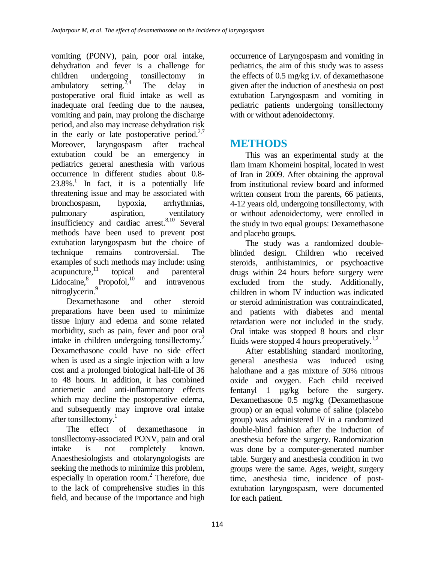vomiting (PONV), pain, poor oral intake, dehydration and fever is a challenge for children undergoing tonsillectomy in ambulatory setting. $2,4$ The delay in postoperative oral fluid intake as well as inadequate oral feeding due to the nausea, vomiting and pain, may prolong the discharge period, and also may increase dehydration risk in the early or late postoperative period. $2.7$ Moreover, laryngospasm after tracheal extubation could be an emergency in pediatrics general anesthesia with various occurrence in different studies about 0.8-  $23.8\%$ <sup>1</sup> In fact, it is a potentially life threatening issue and may be associated with bronchospasm, hypoxia, arrhythmias, pulmonary aspiration, ventilatory insufficiency and cardiac arrest.<sup>8,10</sup> Several methods have been used to prevent post extubation laryngospasm but the choice of technique remains controversial. The examples of such methods may include: using  $acupuncture<sup>11</sup>$  topical and parenteral Lidocaine, $8$  Propofol,<sup>10</sup> and intravenous nitroglycerin.<sup>9</sup>

Dexamethasone and other steroid preparations have been used to minimize tissue injury and edema and some related morbidity, such as pain, fever and poor oral intake in children undergoing tonsillectomy.<sup>2</sup> Dexamethasone could have no side effect when is used as a single injection with a low cost and a prolonged biological half-life of 36 to 48 hours. In addition, it has combined antiemetic and anti-inflammatory effects which may decline the postoperative edema, and subsequently may improve oral intake after tonsillectomy.<sup>1</sup>

The effect of dexamethasone in tonsillectomy-associated PONV, pain and oral intake is not completely known. Anaesthesiologists and otolaryngologists are seeking the methods to minimize this problem, especially in operation room.<sup>2</sup> Therefore, due to the lack of comprehensive studies in this field, and because of the importance and high

occurrence of Laryngospasm and vomiting in pediatrics, the aim of this study was to assess the effects of 0.5 mg/kg i.v. of dexamethasone given after the induction of anesthesia on post extubation Laryngospasm and vomiting in pediatric patients undergoing tonsillectomy with or without adenoidectomy.

# **METHODS**

This was an experimental study at the Ilam Imam Khomeini hospital, located in west of Iran in 2009. After obtaining the approval from institutional review board and informed written consent from the parents, 66 patients, 4-12 years old, undergoing tonsillectomy, with or without adenoidectomy, were enrolled in the study in two equal groups: Dexamethasone and placebo groups.

The study was a randomized doubleblinded design. Children who received steroids, antihistaminics, or psychoactive drugs within 24 hours before surgery were excluded from the study. Additionally, children in whom IV induction was indicated or steroid administration was contraindicated, and patients with diabetes and mental retardation were not included in the study. Oral intake was stopped 8 hours and clear fluids were stopped 4 hours preoperatively.<sup>1,2</sup>

After establishing standard monitoring, general anesthesia was induced using halothane and a gas mixture of 50% nitrous oxide and oxygen. Each child received fentanyl 1 µg/kg before the surgery. Dexamethasone 0.5 mg/kg (Dexamethasone group) or an equal volume of saline (placebo group) was administered IV in a randomized double-blind fashion after the induction of anesthesia before the surgery. Randomization was done by a computer-generated number table. Surgery and anesthesia condition in two groups were the same. Ages, weight, surgery time, anesthesia time, incidence of postextubation laryngospasm, were documented for each patient.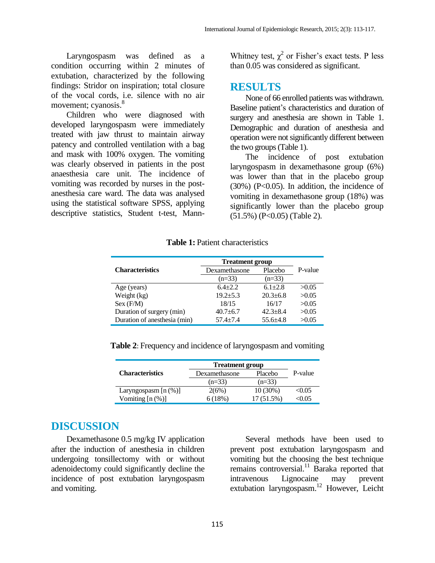Laryngospasm was defined as a condition occurring within 2 minutes of extubation, characterized by the following findings: Stridor on inspiration; total closure of the vocal cords, i.e. silence with no air movement; cyanosis.<sup>8</sup>

Children who were diagnosed with developed laryngospasm were immediately treated with jaw thrust to maintain airway patency and controlled ventilation with a bag and mask with 100% oxygen. The vomiting was clearly observed in patients in the post anaesthesia care unit. The incidence of vomiting was recorded by nurses in the postanesthesia care ward. The data was analysed using the statistical software SPSS, applying descriptive statistics, Student t-test, Mann-

Whitney test,  $\chi^2$  or Fisher's exact tests. P less than 0.05 was considered as significant.

### **RESULTS**

None of 66 enrolled patients was withdrawn. Baseline patient's characteristics and duration of surgery and anesthesia are shown in Table 1. Demographic and duration of anesthesia and operation were not significantly different between the two groups (Table 1).

The incidence of post extubation laryngospasm in dexamethasone group (6%) was lower than that in the placebo group  $(30\%)$  (P<0.05). In addition, the incidence of vomiting in dexamethasone group (18%) was significantly lower than the placebo group  $(51.5\%)$  (P<0.05) (Table 2).

| <b>Characteristics</b>       | <b>Treatment group</b> |                |                |
|------------------------------|------------------------|----------------|----------------|
|                              | Dexamethasone          | Placebo        | P-value        |
|                              | $(n=33)$               | $(n=33)$       |                |
| Age (years)                  | $6.4 + 2.2$            | $6.1 \pm 2.8$  | >0.05          |
| Weight (kg)                  | $19.2 + 5.3$           | $20.3 \pm 6.8$ | >0.05          |
| Sex(F/M)                     | 18/15                  | 16/17          | >0.05          |
| Duration of surgery (min)    | $40.7 + 6.7$           | $42.3 \pm 8.4$ | >0.05          |
| Duration of anesthesia (min) | $574 + 74$             | 55.6 $+4.8$    | $\approx$ 0.05 |

**Table 1:** Patient characteristics

| $\mathbf{W}$ $\mathbf{U}$ $\mathbf{L}$ $\mathbf{H}$ $\mathbf{W}$ $\mathbf{L}$ | 1, 2, 4, 7, 7, 7 | 40.J±0.O       | <i>_</i> |
|-------------------------------------------------------------------------------|------------------|----------------|----------|
| Sex (F/M)                                                                     | 18/15            | 16/17          | >0.05    |
| Duration of surgery (min)                                                     | $40.7 \pm 6.7$   | $42.3 \pm 8.4$ | >0.05    |
| Duration of anesthesia (min)                                                  | $57.4 + 7.4$     | $55.6 + 4.8$   | >0.05    |
|                                                                               |                  |                |          |
|                                                                               |                  |                |          |
| <b>Table 2:</b> Frequency and incidence of laryngospasm and vomiting          |                  |                |          |
|                                                                               |                  |                |          |

|                         | <b>Treatment group</b> |              |         |
|-------------------------|------------------------|--------------|---------|
| <b>Characteristics</b>  | Dexamethasone          | Placebo      | P-value |
|                         | $(n=33)$               | $(n=33)$     |         |
| Laryngospasm $[n (\%)]$ | 2(6%)                  | $10(30\%)$   | < 0.05  |
| Vomiting $[n (\%)]$     | 6(18%)                 | $17(51.5\%)$ | < 0.05  |

### **DISCUSSION**

Dexamethasone 0.5 mg/kg IV application after the induction of anesthesia in children undergoing tonsillectomy with or without adenoidectomy could significantly decline the incidence of post extubation laryngospasm and vomiting.

Several methods have been used to prevent post extubation laryngospasm and vomiting but the choosing the best technique remains controversial.<sup>11</sup> Baraka reported that intravenous Lignocaine may prevent extubation laryngospasm. <sup>12</sup> However, Leicht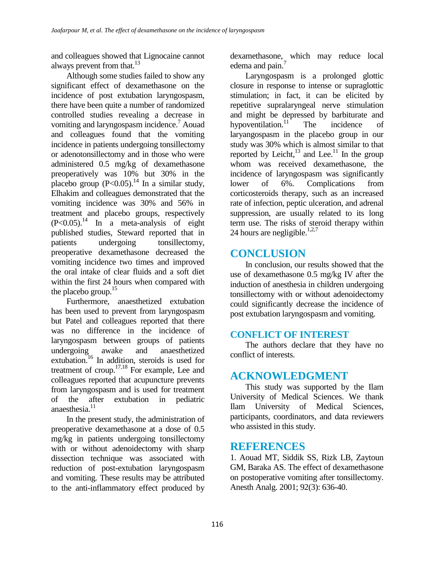and colleagues showed that Lignocaine cannot always prevent from that. $^{13}$ 

Although some studies failed to show any significant effect of dexamethasone on the incidence of post extubation laryngospasm, there have been quite a number of randomized controlled studies revealing a decrease in vomiting and laryngospasm incidence.<sup>7</sup> Aouad and colleagues found that the vomiting incidence in patients undergoing tonsillectomy or adenotonsillectomy and in those who were administered 0.5 mg/kg of dexamethasone preoperatively was 10% but 30% in the placebo group  $(P<0.05)$ .<sup>14</sup> In a similar study, Elhakim and colleagues demonstrated that the vomiting incidence was 30% and 56% in treatment and placebo groups, respectively (P<0.05). <sup>14</sup> In a meta-analysis of eight published studies, Steward reported that in patients undergoing tonsillectomy, preoperative dexamethasone decreased the vomiting incidence two times and improved the oral intake of clear fluids and a soft diet within the first 24 hours when compared with the placebo group. $15$ 

Furthermore, anaesthetized extubation has been used to prevent from laryngospasm but Patel and colleagues reported that there was no difference in the incidence of laryngospasm between groups of patients undergoing awake and anaesthetized extubation. <sup>16</sup> In addition, steroids is used for treatment of croup.<sup>17,18</sup> For example, Lee and colleagues reported that acupuncture prevents from laryngospasm and is used for treatment of the after extubation in pediatric anaesthesia.<sup>11</sup>

In the present study, the administration of preoperative dexamethasone at a dose of 0.5 mg/kg in patients undergoing tonsillectomy with or without adenoidectomy with sharp dissection technique was associated with reduction of post-extubation laryngospasm and vomiting. These results may be attributed to the anti-inflammatory effect produced by dexamethasone, which may reduce local edema and pain.<sup>7</sup>

Laryngospasm is a prolonged glottic closure in response to intense or supraglottic stimulation; in fact, it can be elicited by repetitive supralaryngeal nerve stimulation and might be depressed by barbiturate and hypoventilation.<sup>11</sup> The incidence of laryangospasm in the placebo group in our study was 30% which is almost similar to that reported by Leicht, $^{13}$  and Lee.<sup>11</sup> In the group whom was received dexamethasone, the incidence of laryngospasm was significantly lower of 6%. Complications from corticosteroids therapy, such as an increased rate of infection, peptic ulceration, and adrenal suppression, are usually related to its long term use. The risks of steroid therapy within 24 hours are negligible.<sup>1,2,7</sup>

## **CONCLUSION**

In conclusion, our results showed that the use of dexamethasone 0.5 mg/kg IV after the induction of anesthesia in children undergoing tonsillectomy with or without adenoidectomy could significantly decrease the incidence of post extubation laryngospasm and vomiting.

### **CONFLICT OF INTEREST**

The authors declare that they have no conflict of interests.

## **ACKNOWLEDGMENT**

This study was supported by the Ilam University of Medical Sciences. We thank Ilam University of Medical Sciences, participants, coordinators, and data reviewers who assisted in this study.

### **REFERENCES**

1. Aouad MT, Siddik SS, Rizk LB, Zaytoun GM, Baraka AS. The effect of dexamethasone on postoperative vomiting after tonsillectomy. Anesth Analg. 2001; 92(3): 636-40.